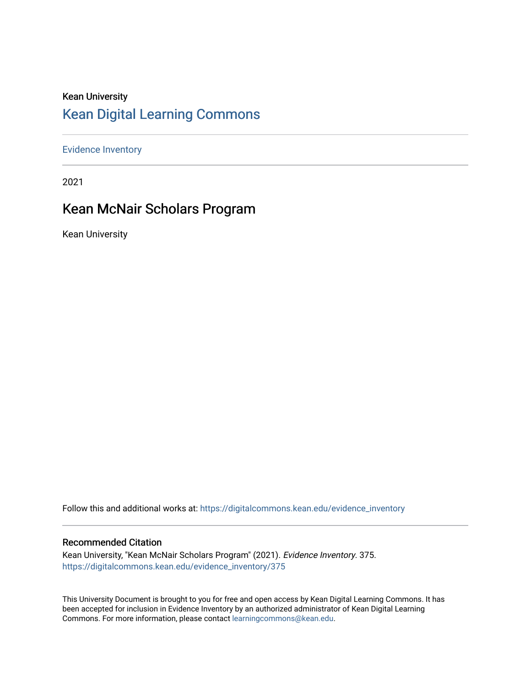### Kean University [Kean Digital Learning Commons](https://digitalcommons.kean.edu/)

[Evidence Inventory](https://digitalcommons.kean.edu/evidence_inventory) 

2021

### Kean McNair Scholars Program

Kean University

Follow this and additional works at: [https://digitalcommons.kean.edu/evidence\\_inventory](https://digitalcommons.kean.edu/evidence_inventory?utm_source=digitalcommons.kean.edu%2Fevidence_inventory%2F375&utm_medium=PDF&utm_campaign=PDFCoverPages)

#### Recommended Citation

Kean University, "Kean McNair Scholars Program" (2021). Evidence Inventory. 375. [https://digitalcommons.kean.edu/evidence\\_inventory/375](https://digitalcommons.kean.edu/evidence_inventory/375?utm_source=digitalcommons.kean.edu%2Fevidence_inventory%2F375&utm_medium=PDF&utm_campaign=PDFCoverPages)

This University Document is brought to you for free and open access by Kean Digital Learning Commons. It has been accepted for inclusion in Evidence Inventory by an authorized administrator of Kean Digital Learning Commons. For more information, please contact [learningcommons@kean.edu.](mailto:learningcommons@kean.edu)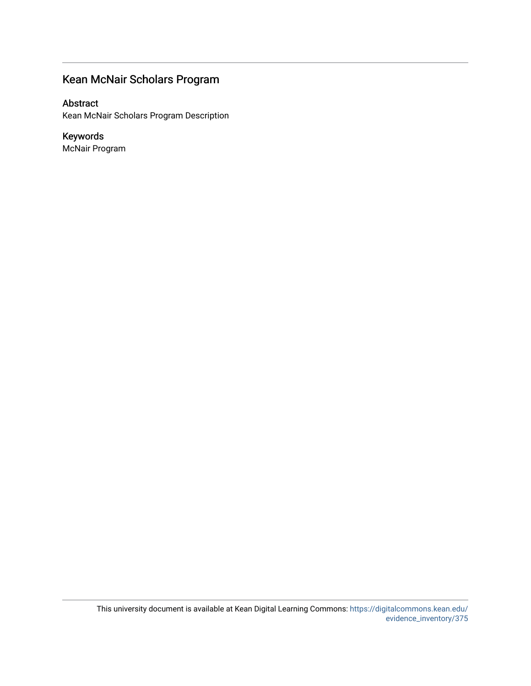### Kean McNair Scholars Program

Abstract

Kean McNair Scholars Program Description

Keywords McNair Program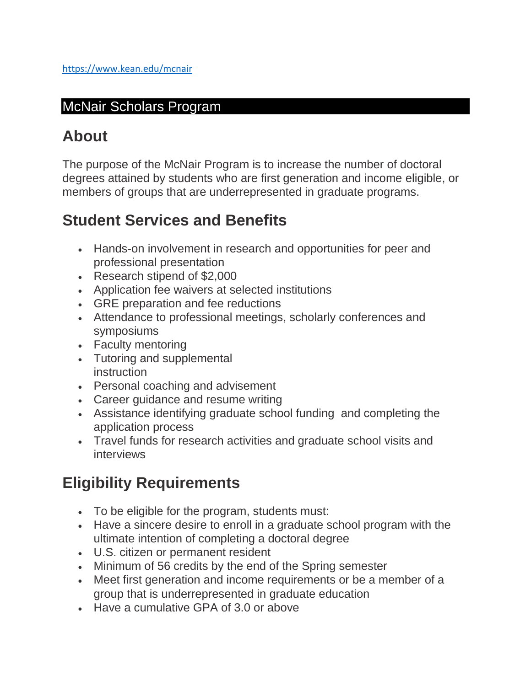### McNair Scholars Program

## **About**

The purpose of the McNair Program is to increase the number of doctoral degrees attained by students who are first generation and income eligible, or members of groups that are underrepresented in graduate programs.

## **Student Services and Benefits**

- Hands-on involvement in research and opportunities for peer and professional presentation
- Research stipend of \$2,000
- Application fee waivers at selected institutions
- GRE preparation and fee reductions
- Attendance to professional meetings, scholarly conferences and symposiums
- Faculty mentoring
- Tutoring and supplemental instruction
- Personal coaching and advisement
- Career guidance and resume writing
- Assistance identifying graduate school funding and completing the application process
- Travel funds for research activities and graduate school visits and interviews

# **Eligibility Requirements**

- To be eligible for the program, students must:
- Have a sincere desire to enroll in a graduate school program with the ultimate intention of completing a doctoral degree
- U.S. citizen or permanent resident
- Minimum of 56 credits by the end of the Spring semester
- Meet first generation and income requirements or be a member of a group that is underrepresented in graduate education
- Have a cumulative GPA of 3.0 or above